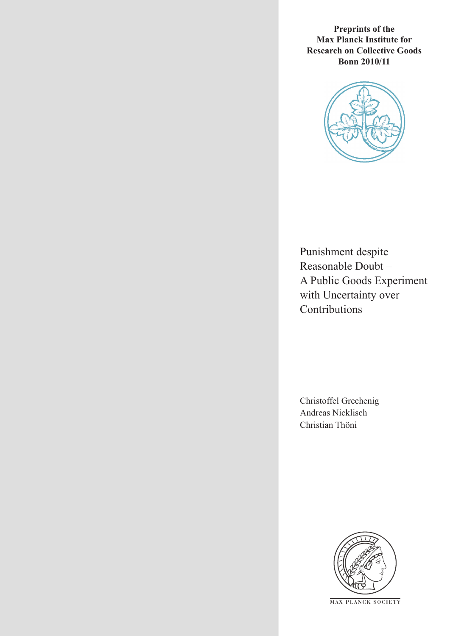**Preprints of the Max Planck Institute for Research on Collective Goods Bonn 2010/11**



Punishment despite Reasonable Doubt – A Public Goods Experiment with Uncertainty over **Contributions** 

Christoffel Grechenig Andreas Nicklisch Christian Thöni



**M AX P L A N C K S O C I E T Y**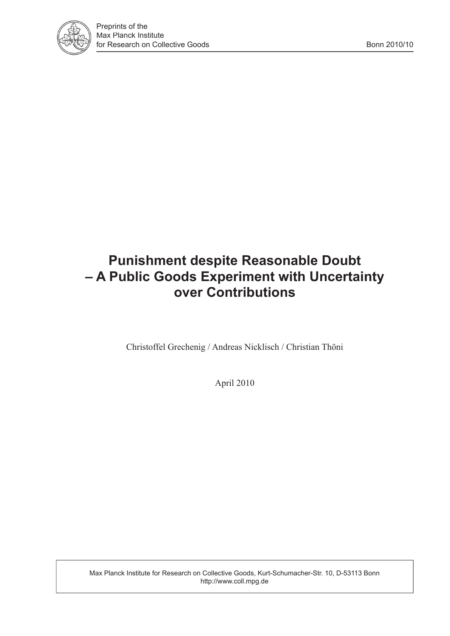

# **Punishment despite Reasonable Doubt – A Public Goods Experiment with Uncertainty over Contributions**

Christoffel Grechenig / Andreas Nicklisch / Christian Thöni

April 2010

Max Planck Institute for Research on Collective Goods, Kurt-Schumacher-Str. 10, D-53113 Bonn http://www.coll.mpg.de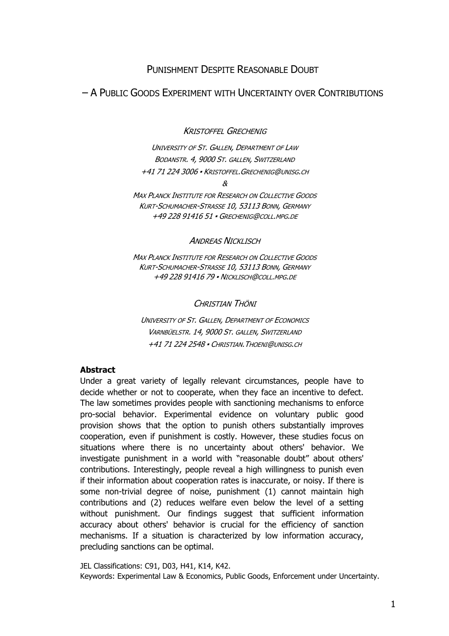# PUNISHMENT DESPITE REASONABLE DOUBT

# – A PUBLIC GOODS EXPERIMENT WITH UNCERTAINTY OVER CONTRIBUTIONS

KRISTOFFEL GRECHENIG

UNIVERSITY OF ST. GALLEN, DEPARTMENT OF LAW BODANSTR. 4, 9000 ST. GALLEN, SWITZERLAND +41 71 224 3006 ▪ KRISTOFFEL.GRECHENIG@UNISG.CH

&

MAX PLANCK INSTITUTE FOR RESEARCH ON COLLECTIVE GOODS KURT-SCHUMACHER-STRASSE 10, 53113 BONN, GERMANY +49 228 91416 51 ▪ GRECHENIG@COLL.MPG.DE

ANDREAS NICKLISCH

MAX PLANCK INSTITUTE FOR RESEARCH ON COLLECTIVE GOODS KURT-SCHUMACHER-STRASSE 10, 53113 BONN, GERMANY +49 228 91416 79 ▪ NICKLISCH@COLL.MPG.DE

CHRISTIAN THÖNI

UNIVERSITY OF ST. GALLEN, DEPARTMENT OF ECONOMICS VARNBÜELSTR. 14, 9000 ST. GALLEN, SWITZERLAND +41 71 224 2548 ▪ CHRISTIAN.THOENI@UNISG.CH

## Abstract

Under a great variety of legally relevant circumstances, people have to decide whether or not to cooperate, when they face an incentive to defect. The law sometimes provides people with sanctioning mechanisms to enforce pro-social behavior. Experimental evidence on voluntary public good provision shows that the option to punish others substantially improves cooperation, even if punishment is costly. However, these studies focus on situations where there is no uncertainty about others' behavior. We investigate punishment in a world with "reasonable doubt" about others' contributions. Interestingly, people reveal a high willingness to punish even if their information about cooperation rates is inaccurate, or noisy. If there is some non-trivial degree of noise, punishment (1) cannot maintain high contributions and (2) reduces welfare even below the level of a setting without punishment. Our findings suggest that sufficient information accuracy about others' behavior is crucial for the efficiency of sanction mechanisms. If a situation is characterized by low information accuracy, precluding sanctions can be optimal.

JEL Classifications: C91, D03, H41, K14, K42. Keywords: Experimental Law & Economics, Public Goods, Enforcement under Uncertainty.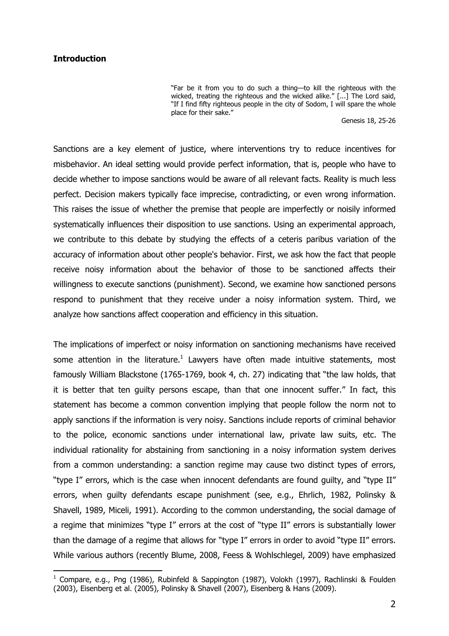#### **Introduction**

 $\overline{a}$ 

"Far be it from you to do such a thing—to kill the righteous with the wicked, treating the righteous and the wicked alike." [...] The Lord said, "If I find fifty righteous people in the city of Sodom, I will spare the whole place for their sake."

Genesis 18, 25-26

Sanctions are a key element of justice, where interventions try to reduce incentives for misbehavior. An ideal setting would provide perfect information, that is, people who have to decide whether to impose sanctions would be aware of all relevant facts. Reality is much less perfect. Decision makers typically face imprecise, contradicting, or even wrong information. This raises the issue of whether the premise that people are imperfectly or noisily informed systematically influences their disposition to use sanctions. Using an experimental approach, we contribute to this debate by studying the effects of a ceteris paribus variation of the accuracy of information about other people's behavior. First, we ask how the fact that people receive noisy information about the behavior of those to be sanctioned affects their willingness to execute sanctions (punishment). Second, we examine how sanctioned persons respond to punishment that they receive under a noisy information system. Third, we analyze how sanctions affect cooperation and efficiency in this situation.

The implications of imperfect or noisy information on sanctioning mechanisms have received some attention in the literature.<sup>1</sup> Lawyers have often made intuitive statements, most famously William Blackstone (1765-1769, book 4, ch. 27) indicating that "the law holds, that it is better that ten guilty persons escape, than that one innocent suffer." In fact, this statement has become a common convention implying that people follow the norm not to apply sanctions if the information is very noisy. Sanctions include reports of criminal behavior to the police, economic sanctions under international law, private law suits, etc. The individual rationality for abstaining from sanctioning in a noisy information system derives from a common understanding: a sanction regime may cause two distinct types of errors, "type I" errors, which is the case when innocent defendants are found guilty, and "type II" errors, when guilty defendants escape punishment (see, e.g., Ehrlich, 1982, Polinsky & Shavell, 1989, Miceli, 1991). According to the common understanding, the social damage of a regime that minimizes "type I" errors at the cost of "type II" errors is substantially lower than the damage of a regime that allows for "type I" errors in order to avoid "type II" errors. While various authors (recently Blume, 2008, Feess & Wohlschlegel, 2009) have emphasized

<sup>&</sup>lt;sup>1</sup> Compare, e.g., Png (1986), Rubinfeld & Sappington (1987), Volokh (1997), Rachlinski & Foulden (2003), Eisenberg et al. (2005), Polinsky & Shavell (2007), Eisenberg & Hans (2009).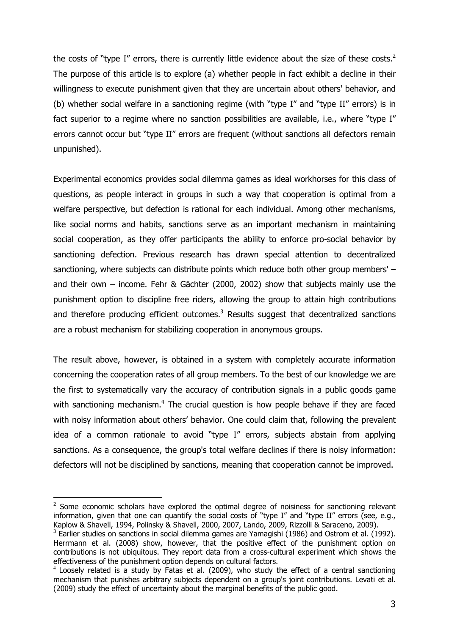the costs of "type I" errors, there is currently little evidence about the size of these costs. $2$ The purpose of this article is to explore (a) whether people in fact exhibit a decline in their willingness to execute punishment given that they are uncertain about others' behavior, and (b) whether social welfare in a sanctioning regime (with "type I" and "type II" errors) is in fact superior to a regime where no sanction possibilities are available, i.e., where "type I" errors cannot occur but "type II" errors are frequent (without sanctions all defectors remain unpunished).

Experimental economics provides social dilemma games as ideal workhorses for this class of questions, as people interact in groups in such a way that cooperation is optimal from a welfare perspective, but defection is rational for each individual. Among other mechanisms, like social norms and habits, sanctions serve as an important mechanism in maintaining social cooperation, as they offer participants the ability to enforce pro-social behavior by sanctioning defection. Previous research has drawn special attention to decentralized sanctioning, where subjects can distribute points which reduce both other group members' – and their own – income. Fehr & Gächter (2000, 2002) show that subjects mainly use the punishment option to discipline free riders, allowing the group to attain high contributions and therefore producing efficient outcomes. $3$  Results suggest that decentralized sanctions are a robust mechanism for stabilizing cooperation in anonymous groups.

The result above, however, is obtained in a system with completely accurate information concerning the cooperation rates of all group members. To the best of our knowledge we are the first to systematically vary the accuracy of contribution signals in a public goods game with sanctioning mechanism.<sup>4</sup> The crucial question is how people behave if they are faced with noisy information about others' behavior. One could claim that, following the prevalent idea of a common rationale to avoid "type I" errors, subjects abstain from applying sanctions. As a consequence, the group's total welfare declines if there is noisy information: defectors will not be disciplined by sanctions, meaning that cooperation cannot be improved.

 $2$  Some economic scholars have explored the optimal degree of noisiness for sanctioning relevant information, given that one can quantify the social costs of "type I" and "type II" errors (see, e.g., Kaplow & Shavell, 1994, Polinsky & Shavell, 2000, 2007, Lando, 2009, Rizzolli & Saraceno, 2009).

 $3$  Earlier studies on sanctions in social dilemma games are Yamagishi (1986) and Ostrom et al. (1992). Herrmann et al. (2008) show, however, that the positive effect of the punishment option on contributions is not ubiquitous. They report data from a cross-cultural experiment which shows the effectiveness of the punishment option depends on cultural factors.

<sup>&</sup>lt;sup>4</sup> Loosely related is a study by Fatas et al. (2009), who study the effect of a central sanctioning mechanism that punishes arbitrary subjects dependent on a group's joint contributions. Levati et al. (2009) study the effect of uncertainty about the marginal benefits of the public good.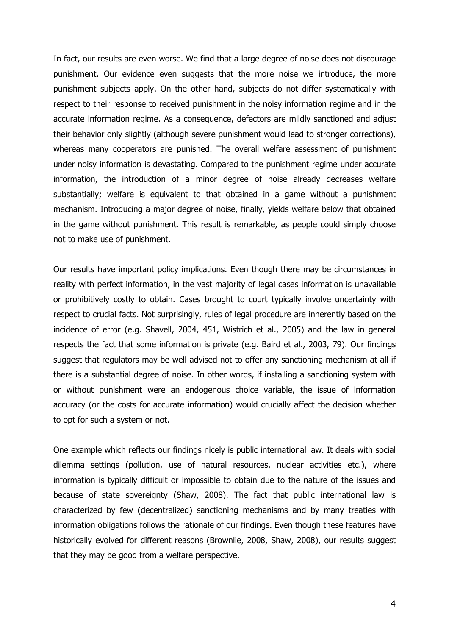In fact, our results are even worse. We find that a large degree of noise does not discourage punishment. Our evidence even suggests that the more noise we introduce, the more punishment subjects apply. On the other hand, subjects do not differ systematically with respect to their response to received punishment in the noisy information regime and in the accurate information regime. As a consequence, defectors are mildly sanctioned and adjust their behavior only slightly (although severe punishment would lead to stronger corrections), whereas many cooperators are punished. The overall welfare assessment of punishment under noisy information is devastating. Compared to the punishment regime under accurate information, the introduction of a minor degree of noise already decreases welfare substantially; welfare is equivalent to that obtained in a game without a punishment mechanism. Introducing a major degree of noise, finally, yields welfare below that obtained in the game without punishment. This result is remarkable, as people could simply choose not to make use of punishment.

Our results have important policy implications. Even though there may be circumstances in reality with perfect information, in the vast majority of legal cases information is unavailable or prohibitively costly to obtain. Cases brought to court typically involve uncertainty with respect to crucial facts. Not surprisingly, rules of legal procedure are inherently based on the incidence of error (e.g. Shavell, 2004, 451, Wistrich et al., 2005) and the law in general respects the fact that some information is private (e.g. Baird et al., 2003, 79). Our findings suggest that regulators may be well advised not to offer any sanctioning mechanism at all if there is a substantial degree of noise. In other words, if installing a sanctioning system with or without punishment were an endogenous choice variable, the issue of information accuracy (or the costs for accurate information) would crucially affect the decision whether to opt for such a system or not.

One example which reflects our findings nicely is public international law. It deals with social dilemma settings (pollution, use of natural resources, nuclear activities etc.), where information is typically difficult or impossible to obtain due to the nature of the issues and because of state sovereignty (Shaw, 2008). The fact that public international law is characterized by few (decentralized) sanctioning mechanisms and by many treaties with information obligations follows the rationale of our findings. Even though these features have historically evolved for different reasons (Brownlie, 2008, Shaw, 2008), our results suggest that they may be good from a welfare perspective.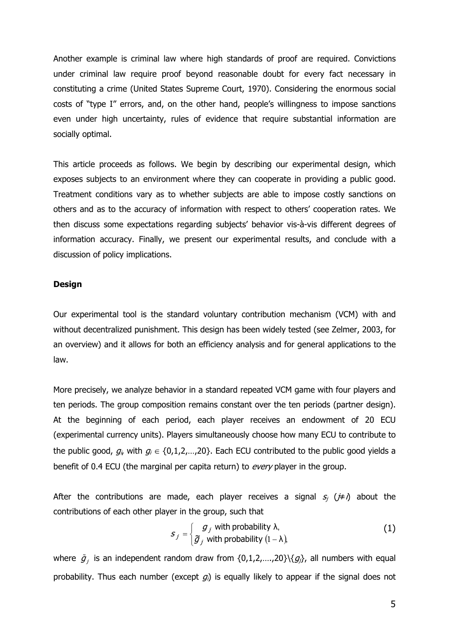Another example is criminal law where high standards of proof are required. Convictions under criminal law require proof beyond reasonable doubt for every fact necessary in constituting a crime (United States Supreme Court, 1970). Considering the enormous social costs of "type I" errors, and, on the other hand, people's willingness to impose sanctions even under high uncertainty, rules of evidence that require substantial information are socially optimal.

This article proceeds as follows. We begin by describing our experimental design, which exposes subjects to an environment where they can cooperate in providing a public good. Treatment conditions vary as to whether subjects are able to impose costly sanctions on others and as to the accuracy of information with respect to others' cooperation rates. We then discuss some expectations regarding subjects' behavior vis-à-vis different degrees of information accuracy. Finally, we present our experimental results, and conclude with a discussion of policy implications.

#### Design

Our experimental tool is the standard voluntary contribution mechanism (VCM) with and without decentralized punishment. This design has been widely tested (see Zelmer, 2003, for an overview) and it allows for both an efficiency analysis and for general applications to the law.

More precisely, we analyze behavior in a standard repeated VCM game with four players and ten periods. The group composition remains constant over the ten periods (partner design). At the beginning of each period, each player receives an endowment of 20 ECU (experimental currency units). Players simultaneously choose how many ECU to contribute to the public good,  $g_i$ , with  $g_i \in \{0,1,2,...,20\}$ . Each ECU contributed to the public good yields a benefit of 0.4 ECU (the marginal per capita return) to every player in the group.

After the contributions are made, each player receives a signal  $s_i$  ( $\neq i$ ) about the contributions of each other player in the group, such that

$$
S_j = \begin{cases} g_j & \text{with probability } \lambda, \\ \widetilde{g}_j & \text{with probability } (1 - \lambda), \end{cases}
$$
 (1)

where  $\tilde{g}_j$  is an independent random draw from {0,1,2,....,20}\{ $g_j$ }, all numbers with equal probability. Thus each number (except  $g_i$ ) is equally likely to appear if the signal does not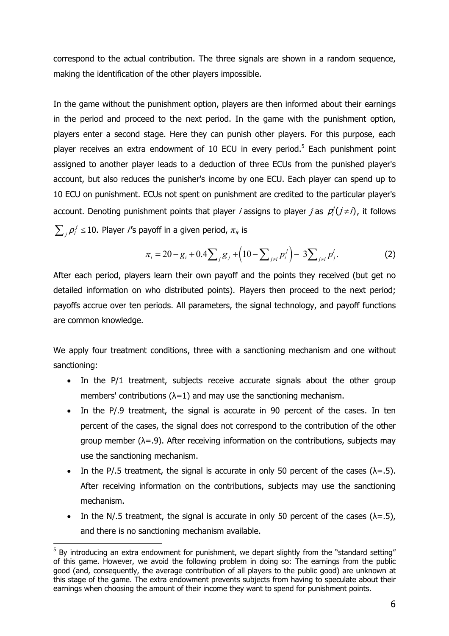correspond to the actual contribution. The three signals are shown in a random sequence, making the identification of the other players impossible.

In the game without the punishment option, players are then informed about their earnings in the period and proceed to the next period. In the game with the punishment option, players enter a second stage. Here they can punish other players. For this purpose, each player receives an extra endowment of 10 ECU in every period.<sup>5</sup> Each punishment point assigned to another player leads to a deduction of three ECUs from the punished player's account, but also reduces the punisher's income by one ECU. Each player can spend up to 10 ECU on punishment. ECUs not spent on punishment are credited to the particular player's account. Denoting punishment points that player *i* assigns to player *j* as  $p_i^j(j\neq i)$ , it follows  $\sum_j \rho_i^j \leq 10$ . Player *i*'s payoff in a given period,  $\pi_{i_t}$  is

$$
\pi_i = 20 - g_i + 0.4 \sum_j g_j + \left(10 - \sum_{j \neq i} p_i^j\right) - 3 \sum_{j \neq i} p_j^i.
$$
 (2)

After each period, players learn their own payoff and the points they received (but get no detailed information on who distributed points). Players then proceed to the next period; payoffs accrue over ten periods. All parameters, the signal technology, and payoff functions are common knowledge.

We apply four treatment conditions, three with a sanctioning mechanism and one without sanctioning:

- In the P/1 treatment, subjects receive accurate signals about the other group members' contributions ( $\lambda$ =1) and may use the sanctioning mechanism.
- In the P/.9 treatment, the signal is accurate in 90 percent of the cases. In ten percent of the cases, the signal does not correspond to the contribution of the other group member ( $\lambda$ =.9). After receiving information on the contributions, subjects may use the sanctioning mechanism.
- In the P/.5 treatment, the signal is accurate in only 50 percent of the cases  $(\lambda = .5)$ . After receiving information on the contributions, subjects may use the sanctioning mechanism.
- In the N/.5 treatment, the signal is accurate in only 50 percent of the cases  $(\lambda = .5)$ , and there is no sanctioning mechanism available.

 $5$  By introducing an extra endowment for punishment, we depart slightly from the "standard setting" of this game. However, we avoid the following problem in doing so: The earnings from the public good (and, consequently, the average contribution of all players to the public good) are unknown at this stage of the game. The extra endowment prevents subjects from having to speculate about their earnings when choosing the amount of their income they want to spend for punishment points.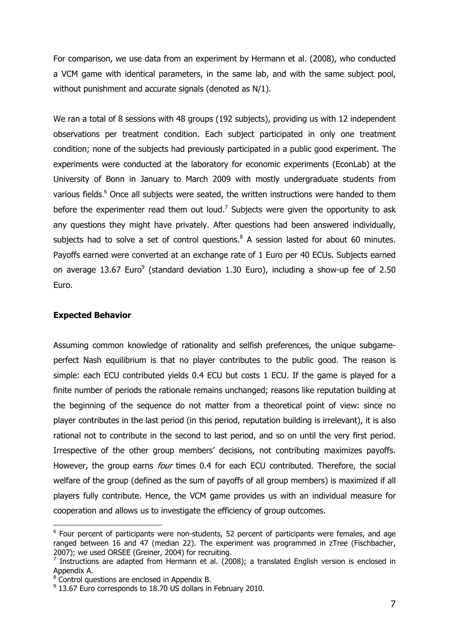For comparison, we use data from an experiment by Hermann et al. (2008), who conducted a VCM game with identical parameters, in the same lab, and with the same subject pool, without punishment and accurate signals (denoted as N/1).

We ran a total of 8 sessions with 48 groups (192 subjects), providing us with 12 independent observations per treatment condition. Each subject participated in only one treatment condition; none of the subjects had previously participated in a public good experiment. The experiments were conducted at the laboratory for economic experiments (EconLab) at the University of Bonn in January to March 2009 with mostly undergraduate students from various fields.<sup>6</sup> Once all subjects were seated, the written instructions were handed to them before the experimenter read them out loud.<sup>7</sup> Subjects were given the opportunity to ask any questions they might have privately. After questions had been answered individually, subjects had to solve a set of control questions. $8$  A session lasted for about 60 minutes. Payoffs earned were converted at an exchange rate of 1 Euro per 40 ECUs. Subjects earned on average 13.67 Euro<sup>9</sup> (standard deviation 1.30 Euro), including a show-up fee of 2.50 Euro.

#### Expected Behavior

 $\overline{a}$ 

Assuming common knowledge of rationality and selfish preferences, the unique subgameperfect Nash equilibrium is that no player contributes to the public good. The reason is simple: each ECU contributed yields 0.4 ECU but costs 1 ECU. If the game is played for a finite number of periods the rationale remains unchanged; reasons like reputation building at the beginning of the sequence do not matter from a theoretical point of view: since no player contributes in the last period (in this period, reputation building is irrelevant), it is also rational not to contribute in the second to last period, and so on until the very first period. Irrespective of the other group members' decisions, not contributing maximizes payoffs. However, the group earns *four* times 0.4 for each ECU contributed. Therefore, the social welfare of the group (defined as the sum of payoffs of all group members) is maximized if all players fully contribute. Hence, the VCM game provides us with an individual measure for cooperation and allows us to investigate the efficiency of group outcomes.

 $6$  Four percent of participants were non-students, 52 percent of participants were females, and age ranged between 16 and 47 (median 22). The experiment was programmed in zTree (Fischbacher, 2007); we used ORSEE (Greiner, 2004) for recruiting.

<sup>&</sup>lt;sup>7</sup> Instructions are adapted from Hermann et al. (2008); a translated English version is enclosed in Appendix A.

<sup>&</sup>lt;sup>8</sup> Control questions are enclosed in Appendix B.

 $9$  13.67 Euro corresponds to 18.70 US dollars in February 2010.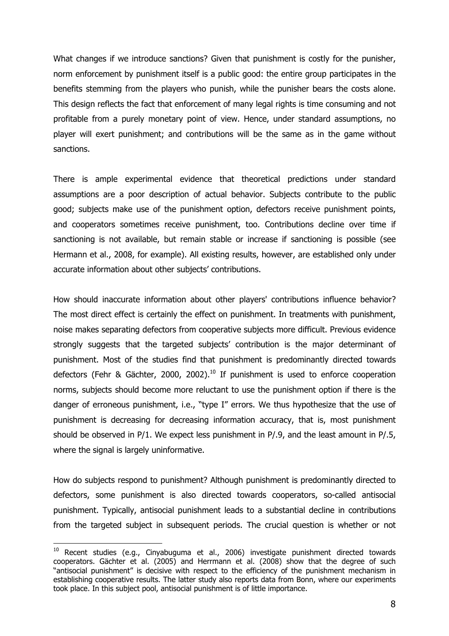What changes if we introduce sanctions? Given that punishment is costly for the punisher, norm enforcement by punishment itself is a public good: the entire group participates in the benefits stemming from the players who punish, while the punisher bears the costs alone. This design reflects the fact that enforcement of many legal rights is time consuming and not profitable from a purely monetary point of view. Hence, under standard assumptions, no player will exert punishment; and contributions will be the same as in the game without sanctions.

There is ample experimental evidence that theoretical predictions under standard assumptions are a poor description of actual behavior. Subjects contribute to the public good; subjects make use of the punishment option, defectors receive punishment points, and cooperators sometimes receive punishment, too. Contributions decline over time if sanctioning is not available, but remain stable or increase if sanctioning is possible (see Hermann et al., 2008, for example). All existing results, however, are established only under accurate information about other subjects' contributions.

How should inaccurate information about other players' contributions influence behavior? The most direct effect is certainly the effect on punishment. In treatments with punishment, noise makes separating defectors from cooperative subjects more difficult. Previous evidence strongly suggests that the targeted subjects' contribution is the major determinant of punishment. Most of the studies find that punishment is predominantly directed towards defectors (Fehr & Gächter, 2000, 2002).<sup>10</sup> If punishment is used to enforce cooperation norms, subjects should become more reluctant to use the punishment option if there is the danger of erroneous punishment, i.e., "type I" errors. We thus hypothesize that the use of punishment is decreasing for decreasing information accuracy, that is, most punishment should be observed in P/1. We expect less punishment in P/.9, and the least amount in P/.5, where the signal is largely uninformative.

How do subjects respond to punishment? Although punishment is predominantly directed to defectors, some punishment is also directed towards cooperators, so-called antisocial punishment. Typically, antisocial punishment leads to a substantial decline in contributions from the targeted subject in subsequent periods. The crucial question is whether or not

 $10$  Recent studies (e.g., Cinyabuguma et al., 2006) investigate punishment directed towards cooperators. Gächter et al. (2005) and Herrmann et al. (2008) show that the degree of such "antisocial punishment" is decisive with respect to the efficiency of the punishment mechanism in establishing cooperative results. The latter study also reports data from Bonn, where our experiments took place. In this subject pool, antisocial punishment is of little importance.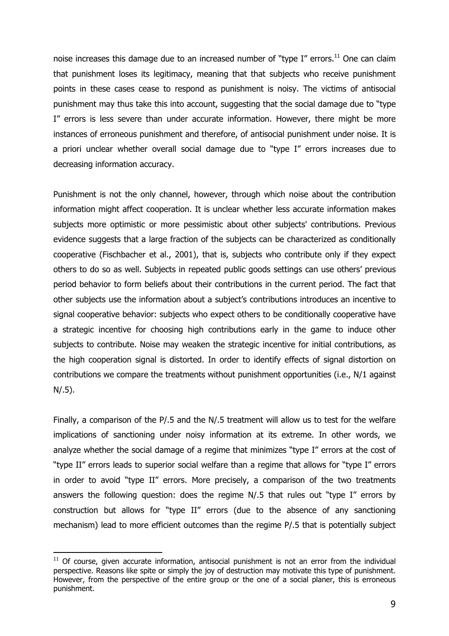noise increases this damage due to an increased number of "type I" errors.<sup>11</sup> One can claim that punishment loses its legitimacy, meaning that that subjects who receive punishment points in these cases cease to respond as punishment is noisy. The victims of antisocial punishment may thus take this into account, suggesting that the social damage due to "type I" errors is less severe than under accurate information. However, there might be more instances of erroneous punishment and therefore, of antisocial punishment under noise. It is a priori unclear whether overall social damage due to "type I" errors increases due to decreasing information accuracy.

Punishment is not the only channel, however, through which noise about the contribution information might affect cooperation. It is unclear whether less accurate information makes subjects more optimistic or more pessimistic about other subjects' contributions. Previous evidence suggests that a large fraction of the subjects can be characterized as conditionally cooperative (Fischbacher et al., 2001), that is, subjects who contribute only if they expect others to do so as well. Subjects in repeated public goods settings can use others' previous period behavior to form beliefs about their contributions in the current period. The fact that other subjects use the information about a subject's contributions introduces an incentive to signal cooperative behavior: subjects who expect others to be conditionally cooperative have a strategic incentive for choosing high contributions early in the game to induce other subjects to contribute. Noise may weaken the strategic incentive for initial contributions, as the high cooperation signal is distorted. In order to identify effects of signal distortion on contributions we compare the treatments without punishment opportunities (i.e., N/1 against N/.5).

Finally, a comparison of the P/.5 and the N/.5 treatment will allow us to test for the welfare implications of sanctioning under noisy information at its extreme. In other words, we analyze whether the social damage of a regime that minimizes "type I" errors at the cost of "type II" errors leads to superior social welfare than a regime that allows for "type I" errors in order to avoid "type II" errors. More precisely, a comparison of the two treatments answers the following question: does the regime N/.5 that rules out "type I" errors by construction but allows for "type II" errors (due to the absence of any sanctioning mechanism) lead to more efficient outcomes than the regime P/.5 that is potentially subject

 $11$  Of course, given accurate information, antisocial punishment is not an error from the individual perspective. Reasons like spite or simply the joy of destruction may motivate this type of punishment. However, from the perspective of the entire group or the one of a social planer, this is erroneous punishment.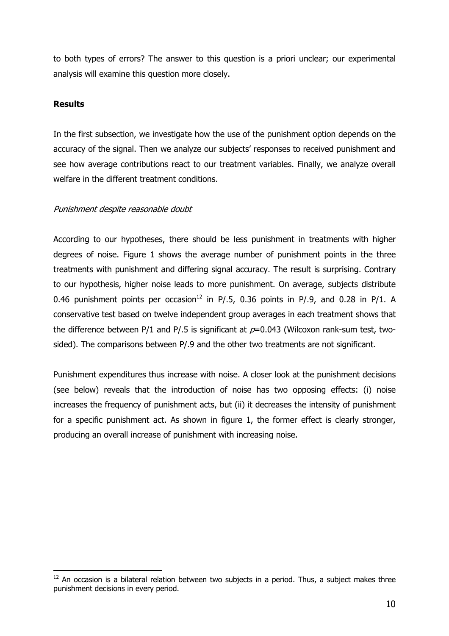to both types of errors? The answer to this question is a priori unclear; our experimental analysis will examine this question more closely.

## **Results**

 $\overline{a}$ 

In the first subsection, we investigate how the use of the punishment option depends on the accuracy of the signal. Then we analyze our subjects' responses to received punishment and see how average contributions react to our treatment variables. Finally, we analyze overall welfare in the different treatment conditions.

#### Punishment despite reasonable doubt

According to our hypotheses, there should be less punishment in treatments with higher degrees of noise. Figure 1 shows the average number of punishment points in the three treatments with punishment and differing signal accuracy. The result is surprising. Contrary to our hypothesis, higher noise leads to more punishment. On average, subjects distribute 0.46 punishment points per occasion<sup>12</sup> in P/.5, 0.36 points in P/.9, and 0.28 in P/1. A conservative test based on twelve independent group averages in each treatment shows that the difference between P/1 and P/.5 is significant at  $p=0.043$  (Wilcoxon rank-sum test, twosided). The comparisons between P/.9 and the other two treatments are not significant.

Punishment expenditures thus increase with noise. A closer look at the punishment decisions (see below) reveals that the introduction of noise has two opposing effects: (i) noise increases the frequency of punishment acts, but (ii) it decreases the intensity of punishment for a specific punishment act. As shown in figure 1, the former effect is clearly stronger, producing an overall increase of punishment with increasing noise.

 $12$  An occasion is a bilateral relation between two subjects in a period. Thus, a subject makes three punishment decisions in every period.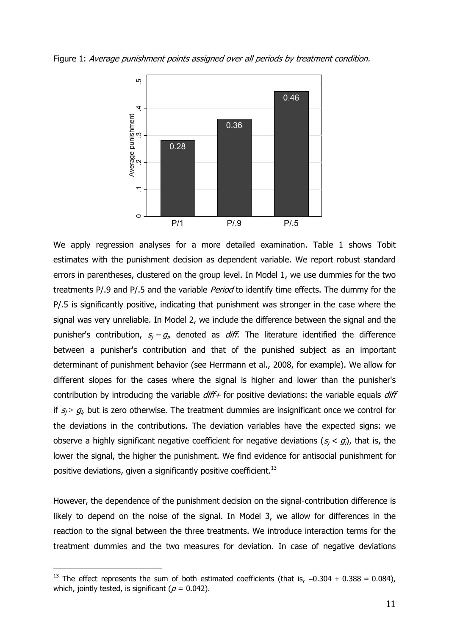



We apply regression analyses for a more detailed examination. Table 1 shows Tobit estimates with the punishment decision as dependent variable. We report robust standard errors in parentheses, clustered on the group level. In Model 1, we use dummies for the two treatments P/.9 and P/.5 and the variable *Period* to identify time effects. The dummy for the P/.5 is significantly positive, indicating that punishment was stronger in the case where the signal was very unreliable. In Model 2, we include the difference between the signal and the punisher's contribution,  $s_j - g_{ij}$  denoted as *diff*. The literature identified the difference between a punisher's contribution and that of the punished subject as an important determinant of punishment behavior (see Herrmann et al., 2008, for example). We allow for different slopes for the cases where the signal is higher and lower than the punisher's contribution by introducing the variable  $diff+$  for positive deviations: the variable equals  $diff$ if  $s_j > g_i$ , but is zero otherwise. The treatment dummies are insignificant once we control for the deviations in the contributions. The deviation variables have the expected signs: we observe a highly significant negative coefficient for negative deviations  $(s_j < g_i)$ , that is, the lower the signal, the higher the punishment. We find evidence for antisocial punishment for positive deviations, given a significantly positive coefficient.<sup>13</sup>

However, the dependence of the punishment decision on the signal-contribution difference is likely to depend on the noise of the signal. In Model 3, we allow for differences in the reaction to the signal between the three treatments. We introduce interaction terms for the treatment dummies and the two measures for deviation. In case of negative deviations

<sup>&</sup>lt;sup>13</sup> The effect represents the sum of both estimated coefficients (that is,  $-0.304 + 0.388 = 0.084$ ), which, jointly tested, is significant ( $p = 0.042$ ).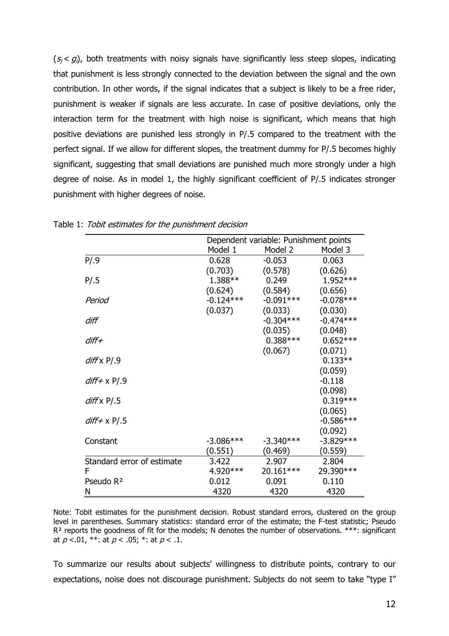$(s_i < g_i)$ , both treatments with noisy signals have significantly less steep slopes, indicating that punishment is less strongly connected to the deviation between the signal and the own contribution. In other words, if the signal indicates that a subject is likely to be a free rider, punishment is weaker if signals are less accurate. In case of positive deviations, only the interaction term for the treatment with high noise is significant, which means that high positive deviations are punished less strongly in P/.5 compared to the treatment with the perfect signal. If we allow for different slopes, the treatment dummy for P/.5 becomes highly significant, suggesting that small deviations are punished much more strongly under a high degree of noise. As in model 1, the highly significant coefficient of P/.5 indicates stronger punishment with higher degrees of noise.

|                            | Dependent variable: Punishment points |             |             |
|----------------------------|---------------------------------------|-------------|-------------|
|                            | Model 1                               | Model 2     | Model 3     |
| P/.9                       | 0.628                                 | $-0.053$    | 0.063       |
|                            | (0.703)                               | (0.578)     | (0.626)     |
| P/.5                       | $1.388**$                             | 0.249       | 1.952 ***   |
|                            | (0.624)                               | (0.584)     | (0.656)     |
| Period                     | $-0.124***$                           | $-0.091***$ | $-0.078***$ |
|                            | (0.037)                               | (0.033)     | (0.030)     |
| diff                       |                                       | $-0.304***$ | $-0.474***$ |
|                            |                                       | (0.035)     | (0.048)     |
| $diff+$                    |                                       | $0.388***$  | $0.652***$  |
|                            |                                       | (0.067)     | (0.071)     |
| $diff \times P/.9$         |                                       |             | $0.133**$   |
|                            |                                       |             | (0.059)     |
| $diff + x P/.9$            |                                       |             | $-0.118$    |
|                            |                                       |             | (0.098)     |
| $diff \times P/.5$         |                                       |             | $0.319***$  |
|                            |                                       |             | (0.065)     |
| $diff + x P/.5$            |                                       |             | $-0.586***$ |
|                            |                                       |             | (0.092)     |
| Constant                   | $-3.086***$                           | $-3.340***$ | $-3.829***$ |
|                            | (0.551)                               | (0.469)     | (0.559)     |
| Standard error of estimate | 3.422                                 | 2.907       | 2.804       |
| F                          | 4.920***                              | 20.161***   | 29.390 ***  |
| Pseudo R <sup>2</sup>      | 0.012                                 | 0.091       | 0.110       |
| Ν                          | 4320                                  | 4320        | 4320        |

Table 1: Tobit estimates for the punishment decision

Note: Tobit estimates for the punishment decision. Robust standard errors, clustered on the group level in parentheses. Summary statistics: standard error of the estimate; the F-test statistic; Pseudo  $R<sup>2</sup>$  reports the goodness of fit for the models; N denotes the number of observations. \*\*\*: significant at  $p < .01$ , \*\*: at  $p < .05$ ; \*: at  $p < .1$ .

To summarize our results about subjects' willingness to distribute points, contrary to our expectations, noise does not discourage punishment. Subjects do not seem to take "type I"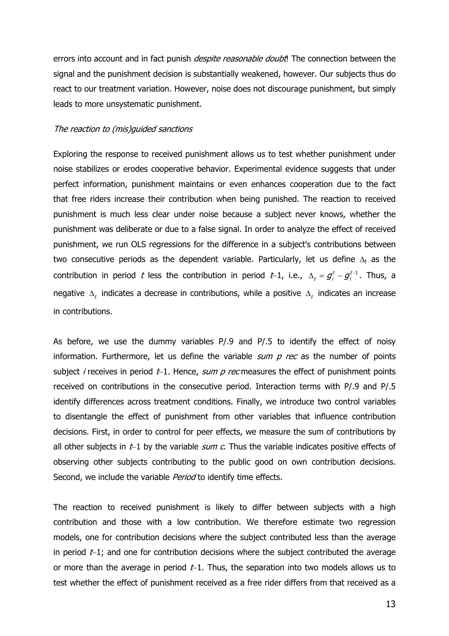errors into account and in fact punish *despite reasonable doubt*! The connection between the signal and the punishment decision is substantially weakened, however. Our subjects thus do react to our treatment variation. However, noise does not discourage punishment, but simply leads to more unsystematic punishment.

#### The reaction to (mis)guided sanctions

Exploring the response to received punishment allows us to test whether punishment under noise stabilizes or erodes cooperative behavior. Experimental evidence suggests that under perfect information, punishment maintains or even enhances cooperation due to the fact that free riders increase their contribution when being punished. The reaction to received punishment is much less clear under noise because a subject never knows, whether the punishment was deliberate or due to a false signal. In order to analyze the effect of received punishment, we run OLS regressions for the difference in a subject's contributions between two consecutive periods as the dependent variable. Particularly, let us define  $\Delta_t$  as the contribution in period t less the contribution in period t–1, i.e.,  $\Delta_t = g_i^t - g_i^{t-1}$ . Thus, a negative  $\Delta_t$  indicates a decrease in contributions, while a positive  $\Delta_t$  indicates an increase in contributions.

As before, we use the dummy variables P/.9 and P/.5 to identify the effect of noisy information. Furthermore, let us define the variable  $sum p$  rec as the number of points subject *i* receives in period t−1. Hence, sum p rec measures the effect of punishment points received on contributions in the consecutive period. Interaction terms with P/.9 and P/.5 identify differences across treatment conditions. Finally, we introduce two control variables to disentangle the effect of punishment from other variables that influence contribution decisions. First, in order to control for peer effects, we measure the sum of contributions by all other subjects in  $t-1$  by the variable *sum c*. Thus the variable indicates positive effects of observing other subjects contributing to the public good on own contribution decisions. Second, we include the variable *Period* to identify time effects.

The reaction to received punishment is likely to differ between subjects with a high contribution and those with a low contribution. We therefore estimate two regression models, one for contribution decisions where the subject contributed less than the average in period t−1; and one for contribution decisions where the subject contributed the average or more than the average in period t−1. Thus, the separation into two models allows us to test whether the effect of punishment received as a free rider differs from that received as a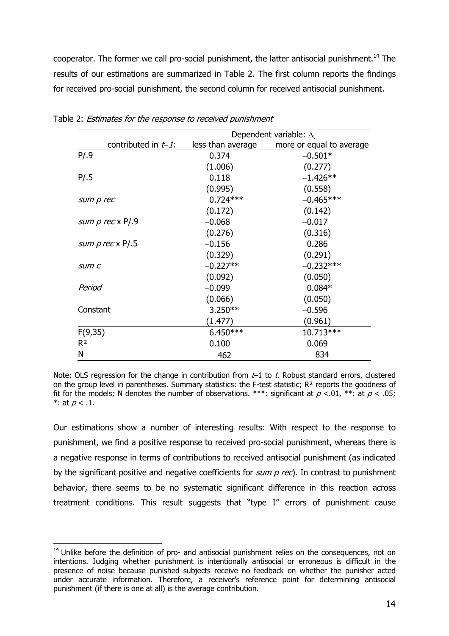cooperator. The former we call pro-social punishment, the latter antisocial punishment.<sup>14</sup> The results of our estimations are summarized in Table 2. The first column reports the findings for received pro-social punishment, the second column for received antisocial punishment.

|                        | Dependent variable: $\Delta_t$ |                          |
|------------------------|--------------------------------|--------------------------|
| contributed in $t-1$ : | less than average              | more or equal to average |
| P/.9                   | 0.374                          | $-0.501*$                |
|                        | (1.006)                        | (0.277)                  |
| P/.5                   | 0.118                          | $-1.426**$               |
|                        | (0.995)                        | (0.558)                  |
| sum p rec              | $0.724***$                     | $-0.465***$              |
|                        | (0.172)                        | (0.142)                  |
| sum $p$ rec $x$ P/.9   | $-0.068$                       | $-0.017$                 |
|                        | (0.276)                        | (0.316)                  |
| <i>sum prec</i> x P/.5 | $-0.156$                       | 0.286                    |
|                        | (0.329)                        | (0.291)                  |
| sum c                  | $-0.227**$                     | $-0.232***$              |
|                        | (0.092)                        | (0.050)                  |
| Period                 | $-0.099$                       | $0.084*$                 |
|                        | (0.066)                        | (0.050)                  |
| Constant               | $3.250**$                      | $-0.596$                 |
|                        | (1.477)                        | (0.961)                  |
| F(9,35)                | $6.450***$                     | 10.713***                |
| R <sup>2</sup>         | 0.100                          | 0.069                    |
| Ν                      | 462                            | 834                      |

Table 2: Estimates for the response to received punishment

Note: OLS regression for the change in contribution from  $t-1$  to t. Robust standard errors, clustered on the group level in parentheses. Summary statistics: the F-test statistic;  $R<sup>2</sup>$  reports the goodness of fit for the models; N denotes the number of observations. \*\*\*: significant at  $p < .01$ , \*\*: at  $p < .05$ ; \*: at  $p < .1$ .

Our estimations show a number of interesting results: With respect to the response to punishment, we find a positive response to received pro-social punishment, whereas there is a negative response in terms of contributions to received antisocial punishment (as indicated by the significant positive and negative coefficients for  $sum p$  rec). In contrast to punishment behavior, there seems to be no systematic significant difference in this reaction across treatment conditions. This result suggests that "type I" errors of punishment cause

 $14$  Unlike before the definition of pro- and antisocial punishment relies on the consequences, not on intentions. Judging whether punishment is intentionally antisocial or erroneous is difficult in the presence of noise because punished subjects receive no feedback on whether the punisher acted under accurate information. Therefore, a receiver's reference point for determining antisocial punishment (if there is one at all) is the average contribution.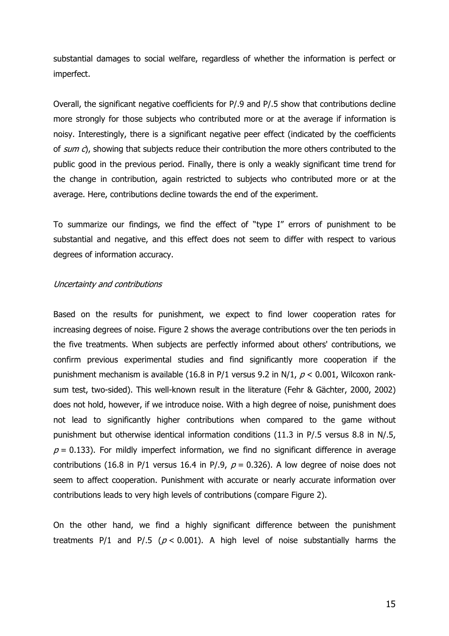substantial damages to social welfare, regardless of whether the information is perfect or imperfect.

Overall, the significant negative coefficients for P/.9 and P/.5 show that contributions decline more strongly for those subjects who contributed more or at the average if information is noisy. Interestingly, there is a significant negative peer effect (indicated by the coefficients of  $sum c$ ), showing that subjects reduce their contribution the more others contributed to the public good in the previous period. Finally, there is only a weakly significant time trend for the change in contribution, again restricted to subjects who contributed more or at the average. Here, contributions decline towards the end of the experiment.

To summarize our findings, we find the effect of "type I" errors of punishment to be substantial and negative, and this effect does not seem to differ with respect to various degrees of information accuracy.

#### Uncertainty and contributions

Based on the results for punishment, we expect to find lower cooperation rates for increasing degrees of noise. Figure 2 shows the average contributions over the ten periods in the five treatments. When subjects are perfectly informed about others' contributions, we confirm previous experimental studies and find significantly more cooperation if the punishment mechanism is available (16.8 in P/1 versus 9.2 in N/1,  $p < 0.001$ , Wilcoxon ranksum test, two-sided). This well-known result in the literature (Fehr & Gächter, 2000, 2002) does not hold, however, if we introduce noise. With a high degree of noise, punishment does not lead to significantly higher contributions when compared to the game without punishment but otherwise identical information conditions (11.3 in P/.5 versus 8.8 in N/.5,  $p = 0.133$ ). For mildly imperfect information, we find no significant difference in average contributions (16.8 in P/1 versus 16.4 in P/.9,  $p = 0.326$ ). A low degree of noise does not seem to affect cooperation. Punishment with accurate or nearly accurate information over contributions leads to very high levels of contributions (compare Figure 2).

On the other hand, we find a highly significant difference between the punishment treatments P/1 and P/.5 ( $p < 0.001$ ). A high level of noise substantially harms the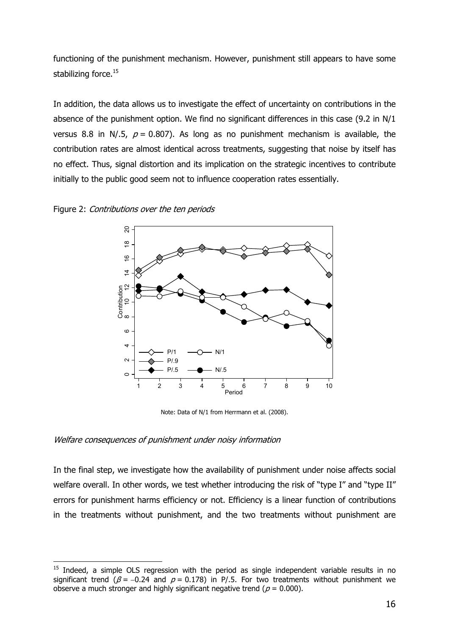functioning of the punishment mechanism. However, punishment still appears to have some stabilizing force.<sup>15</sup>

In addition, the data allows us to investigate the effect of uncertainty on contributions in the absence of the punishment option. We find no significant differences in this case (9.2 in N/1 versus 8.8 in N/.5,  $p = 0.807$ ). As long as no punishment mechanism is available, the contribution rates are almost identical across treatments, suggesting that noise by itself has no effect. Thus, signal distortion and its implication on the strategic incentives to contribute initially to the public good seem not to influence cooperation rates essentially.

#### Figure 2: Contributions over the ten periods



Note: Data of N/1 from Herrmann et al. (2008).

#### Welfare consequences of punishment under noisy information

 $\overline{a}$ 

In the final step, we investigate how the availability of punishment under noise affects social welfare overall. In other words, we test whether introducing the risk of "type I" and "type II" errors for punishment harms efficiency or not. Efficiency is a linear function of contributions in the treatments without punishment, and the two treatments without punishment are

 $15$  Indeed, a simple OLS regression with the period as single independent variable results in no significant trend ( $\beta$  = -0.24 and  $p$  = 0.178) in P/.5. For two treatments without punishment we observe a much stronger and highly significant negative trend ( $p = 0.000$ ).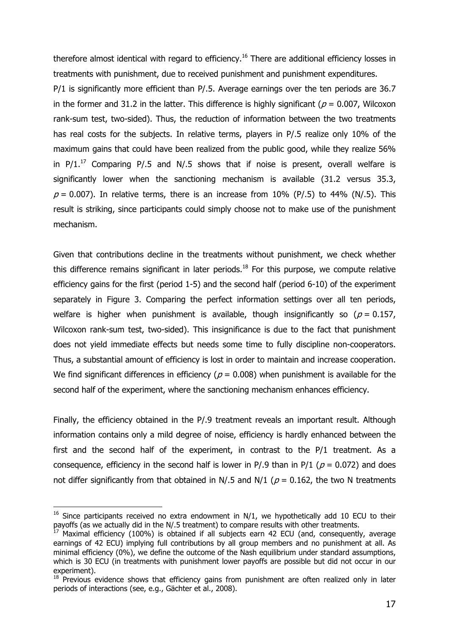therefore almost identical with regard to efficiency.<sup>16</sup> There are additional efficiency losses in treatments with punishment, due to received punishment and punishment expenditures.

P/1 is significantly more efficient than P/.5. Average earnings over the ten periods are 36.7 in the former and 31.2 in the latter. This difference is highly significant ( $p = 0.007$ , Wilcoxon rank-sum test, two-sided). Thus, the reduction of information between the two treatments has real costs for the subjects. In relative terms, players in P/.5 realize only 10% of the maximum gains that could have been realized from the public good, while they realize 56% in  $P/1<sup>17</sup>$  Comparing P/.5 and N/.5 shows that if noise is present, overall welfare is significantly lower when the sanctioning mechanism is available (31.2 versus 35.3,  $p = 0.007$ ). In relative terms, there is an increase from 10% (P/.5) to 44% (N/.5). This result is striking, since participants could simply choose not to make use of the punishment mechanism.

Given that contributions decline in the treatments without punishment, we check whether this difference remains significant in later periods.<sup>18</sup> For this purpose, we compute relative efficiency gains for the first (period 1-5) and the second half (period 6-10) of the experiment separately in Figure 3. Comparing the perfect information settings over all ten periods, welfare is higher when punishment is available, though insignificantly so ( $p = 0.157$ , Wilcoxon rank-sum test, two-sided). This insignificance is due to the fact that punishment does not yield immediate effects but needs some time to fully discipline non-cooperators. Thus, a substantial amount of efficiency is lost in order to maintain and increase cooperation. We find significant differences in efficiency ( $p = 0.008$ ) when punishment is available for the second half of the experiment, where the sanctioning mechanism enhances efficiency.

Finally, the efficiency obtained in the P/.9 treatment reveals an important result. Although information contains only a mild degree of noise, efficiency is hardly enhanced between the first and the second half of the experiment, in contrast to the P/1 treatment. As a consequence, efficiency in the second half is lower in P/.9 than in P/1 ( $p = 0.072$ ) and does not differ significantly from that obtained in N/.5 and N/1 ( $p = 0.162$ , the two N treatments

<sup>&</sup>lt;sup>16</sup> Since participants received no extra endowment in  $N/1$ , we hypothetically add 10 ECU to their payoffs (as we actually did in the N/.5 treatment) to compare results with other treatments.

 $17$  Maximal efficiency (100%) is obtained if all subjects earn 42 ECU (and, consequently, average earnings of 42 ECU) implying full contributions by all group members and no punishment at all. As minimal efficiency (0%), we define the outcome of the Nash equilibrium under standard assumptions, which is 30 ECU (in treatments with punishment lower payoffs are possible but did not occur in our experiment).

 $18$  Previous evidence shows that efficiency gains from punishment are often realized only in later periods of interactions (see, e.g., Gächter et al., 2008).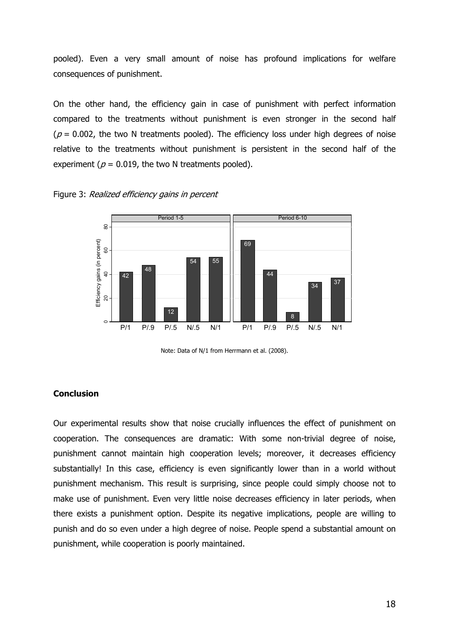pooled). Even a very small amount of noise has profound implications for welfare consequences of punishment.

On the other hand, the efficiency gain in case of punishment with perfect information compared to the treatments without punishment is even stronger in the second half ( $p = 0.002$ , the two N treatments pooled). The efficiency loss under high degrees of noise relative to the treatments without punishment is persistent in the second half of the experiment ( $p = 0.019$ , the two N treatments pooled).

Figure 3: Realized efficiency gains in percent



Note: Data of N/1 from Herrmann et al. (2008).

## Conclusion

Our experimental results show that noise crucially influences the effect of punishment on cooperation. The consequences are dramatic: With some non-trivial degree of noise, punishment cannot maintain high cooperation levels; moreover, it decreases efficiency substantially! In this case, efficiency is even significantly lower than in a world without punishment mechanism. This result is surprising, since people could simply choose not to make use of punishment. Even very little noise decreases efficiency in later periods, when there exists a punishment option. Despite its negative implications, people are willing to punish and do so even under a high degree of noise. People spend a substantial amount on punishment, while cooperation is poorly maintained.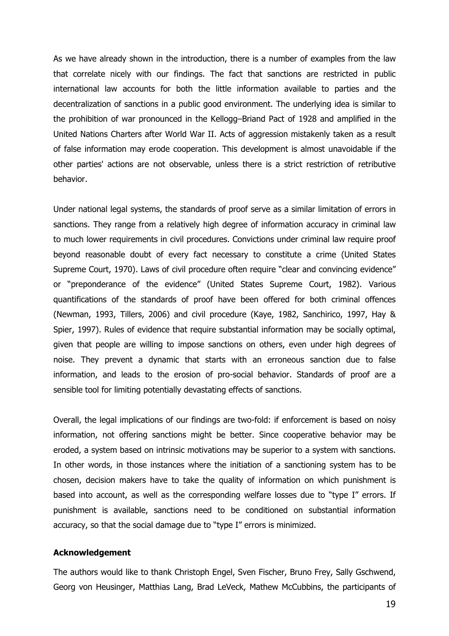As we have already shown in the introduction, there is a number of examples from the law that correlate nicely with our findings. The fact that sanctions are restricted in public international law accounts for both the little information available to parties and the decentralization of sanctions in a public good environment. The underlying idea is similar to the prohibition of war pronounced in the Kellogg–Briand Pact of 1928 and amplified in the United Nations Charters after World War II. Acts of aggression mistakenly taken as a result of false information may erode cooperation. This development is almost unavoidable if the other parties' actions are not observable, unless there is a strict restriction of retributive behavior.

Under national legal systems, the standards of proof serve as a similar limitation of errors in sanctions. They range from a relatively high degree of information accuracy in criminal law to much lower requirements in civil procedures. Convictions under criminal law require proof beyond reasonable doubt of every fact necessary to constitute a crime (United States Supreme Court, 1970). Laws of civil procedure often require "clear and convincing evidence" or "preponderance of the evidence" (United States Supreme Court, 1982). Various quantifications of the standards of proof have been offered for both criminal offences (Newman, 1993, Tillers, 2006) and civil procedure (Kaye, 1982, Sanchirico, 1997, Hay & Spier, 1997). Rules of evidence that require substantial information may be socially optimal, given that people are willing to impose sanctions on others, even under high degrees of noise. They prevent a dynamic that starts with an erroneous sanction due to false information, and leads to the erosion of pro-social behavior. Standards of proof are a sensible tool for limiting potentially devastating effects of sanctions.

Overall, the legal implications of our findings are two-fold: if enforcement is based on noisy information, not offering sanctions might be better. Since cooperative behavior may be eroded, a system based on intrinsic motivations may be superior to a system with sanctions. In other words, in those instances where the initiation of a sanctioning system has to be chosen, decision makers have to take the quality of information on which punishment is based into account, as well as the corresponding welfare losses due to "type I" errors. If punishment is available, sanctions need to be conditioned on substantial information accuracy, so that the social damage due to "type I" errors is minimized.

#### Acknowledgement

The authors would like to thank Christoph Engel, Sven Fischer, Bruno Frey, Sally Gschwend, Georg von Heusinger, Matthias Lang, Brad LeVeck, Mathew McCubbins, the participants of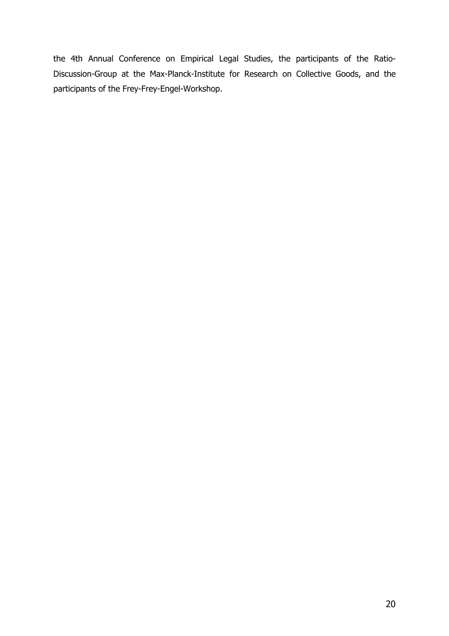the 4th Annual Conference on Empirical Legal Studies, the participants of the Ratio-Discussion-Group at the Max-Planck-Institute for Research on Collective Goods, and the participants of the Frey-Frey-Engel-Workshop.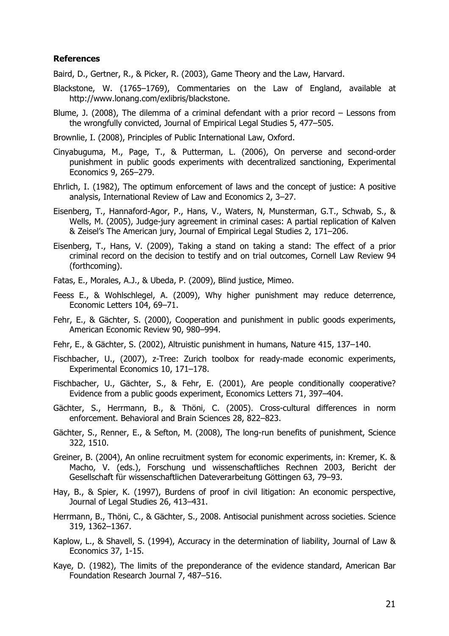#### References

Baird, D., Gertner, R., & Picker, R. (2003), Game Theory and the Law, Harvard.

- Blackstone, W. (1765–1769), Commentaries on the Law of England, available at http://www.lonang.com/exlibris/blackstone.
- Blume, J. (2008), The dilemma of a criminal defendant with a prior record Lessons from the wrongfully convicted, Journal of Empirical Legal Studies 5, 477–505.
- Brownlie, I. (2008), Principles of Public International Law, Oxford.
- Cinyabuguma, M., Page, T., & Putterman, L. (2006), On perverse and second-order punishment in public goods experiments with decentralized sanctioning, Experimental Economics 9, 265–279.
- Ehrlich, I. (1982), The optimum enforcement of laws and the concept of justice: A positive analysis, International Review of Law and Economics 2, 3–27.
- Eisenberg, T., Hannaford-Agor, P., Hans, V., Waters, N, Munsterman, G.T., Schwab, S., & Wells, M. (2005), Judge-jury agreement in criminal cases: A partial replication of Kalven & Zeisel's The American jury, Journal of Empirical Legal Studies 2, 171–206.
- Eisenberg, T., Hans, V. (2009), Taking a stand on taking a stand: The effect of a prior criminal record on the decision to testify and on trial outcomes, Cornell Law Review 94 (forthcoming).
- Fatas, E., Morales, A.J., & Ubeda, P. (2009), Blind justice, Mimeo.
- Feess E., & Wohlschlegel, A. (2009), Why higher punishment may reduce deterrence, Economic Letters 104, 69–71.
- Fehr, E., & Gächter, S. (2000), Cooperation and punishment in public goods experiments, American Economic Review 90, 980–994.
- Fehr, E., & Gächter, S. (2002), Altruistic punishment in humans, Nature 415, 137–140.
- Fischbacher, U., (2007), z-Tree: Zurich toolbox for ready-made economic experiments, Experimental Economics 10, 171–178.
- Fischbacher, U., Gächter, S., & Fehr, E. (2001), Are people conditionally cooperative? Evidence from a public goods experiment, Economics Letters 71, 397–404.
- Gächter, S., Herrmann, B., & Thöni, C. (2005). Cross-cultural differences in norm enforcement. Behavioral and Brain Sciences 28, 822–823.
- Gächter, S., Renner, E., & Sefton, M. (2008), The long-run benefits of punishment, Science 322, 1510.
- Greiner, B. (2004), An online recruitment system for economic experiments, in: Kremer, K. & Macho, V. (eds.), Forschung und wissenschaftliches Rechnen 2003, Bericht der Gesellschaft für wissenschaftlichen Dateverarbeitung Göttingen 63, 79–93.
- Hay, B., & Spier, K. (1997), Burdens of proof in civil litigation: An economic perspective, Journal of Legal Studies 26, 413–431.
- Herrmann, B., Thöni, C., & Gächter, S., 2008. Antisocial punishment across societies. Science 319, 1362–1367.
- Kaplow, L., & Shavell, S. (1994), Accuracy in the determination of liability, Journal of Law & Economics 37, 1-15.
- Kaye, D. (1982), The limits of the preponderance of the evidence standard, American Bar Foundation Research Journal 7, 487–516.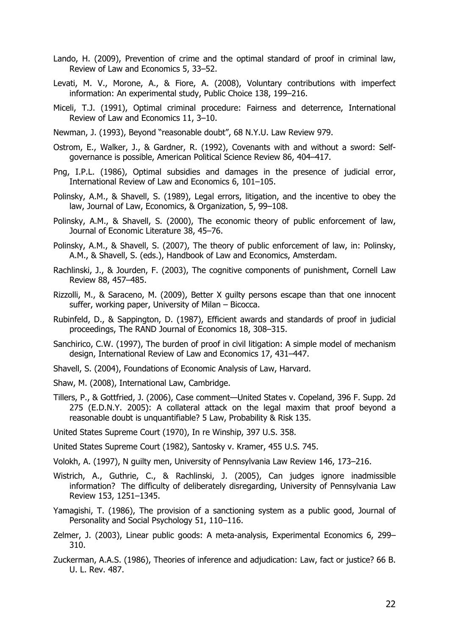- Lando, H. (2009), Prevention of crime and the optimal standard of proof in criminal law, Review of Law and Economics 5, 33–52.
- Levati, M. V., Morone, A., & Fiore, A. (2008), Voluntary contributions with imperfect information: An experimental study, Public Choice 138, 199–216.
- Miceli, T.J. (1991), Optimal criminal procedure: Fairness and deterrence, International Review of Law and Economics 11, 3–10.
- Newman, J. (1993), Beyond "reasonable doubt", 68 N.Y.U. Law Review 979.
- Ostrom, E., Walker, J., & Gardner, R. (1992), Covenants with and without a sword: Selfgovernance is possible, American Political Science Review 86, 404–417.
- Png, I.P.L. (1986), Optimal subsidies and damages in the presence of judicial error, International Review of Law and Economics 6, 101–105.
- Polinsky, A.M., & Shavell, S. (1989), Legal errors, litigation, and the incentive to obey the law, Journal of Law, Economics, & Organization, 5, 99–108.
- Polinsky, A.M., & Shavell, S. (2000), The economic theory of public enforcement of law, Journal of Economic Literature 38, 45–76.
- Polinsky, A.M., & Shavell, S. (2007), The theory of public enforcement of law, in: Polinsky, A.M., & Shavell, S. (eds.), Handbook of Law and Economics, Amsterdam.
- Rachlinski, J., & Jourden, F. (2003), The cognitive components of punishment, Cornell Law Review 88, 457–485.
- Rizzolli, M., & Saraceno, M. (2009), Better X guilty persons escape than that one innocent suffer, working paper, University of Milan – Bicocca.
- Rubinfeld, D., & Sappington, D. (1987), Efficient awards and standards of proof in judicial proceedings, The RAND Journal of Economics 18, 308–315.
- Sanchirico, C.W. (1997), The burden of proof in civil litigation: A simple model of mechanism design, International Review of Law and Economics 17, 431–447.
- Shavell, S. (2004), Foundations of Economic Analysis of Law, Harvard.
- Shaw, M. (2008), International Law, Cambridge.
- Tillers, P., & Gottfried, J. (2006), Case comment—United States v. Copeland, 396 F. Supp. 2d 275 (E.D.N.Y. 2005): A collateral attack on the legal maxim that proof beyond a reasonable doubt is unquantifiable? 5 Law, Probability & Risk 135.
- United States Supreme Court (1970), In re Winship, 397 U.S. 358.
- United States Supreme Court (1982), Santosky v. Kramer, 455 U.S. 745.
- Volokh, A. (1997), N guilty men, University of Pennsylvania Law Review 146, 173–216.
- Wistrich, A., Guthrie, C., & Rachlinski, J. (2005), Can judges ignore inadmissible information? The difficulty of deliberately disregarding, University of Pennsylvania Law Review 153, 1251–1345.
- Yamagishi, T. (1986), The provision of a sanctioning system as a public good, Journal of Personality and Social Psychology 51, 110–116.
- Zelmer, J. (2003), Linear public goods: A meta-analysis, Experimental Economics 6, 299– 310.
- Zuckerman, A.A.S. (1986), Theories of inference and adjudication: Law, fact or justice? 66 B. U. L. Rev. 487.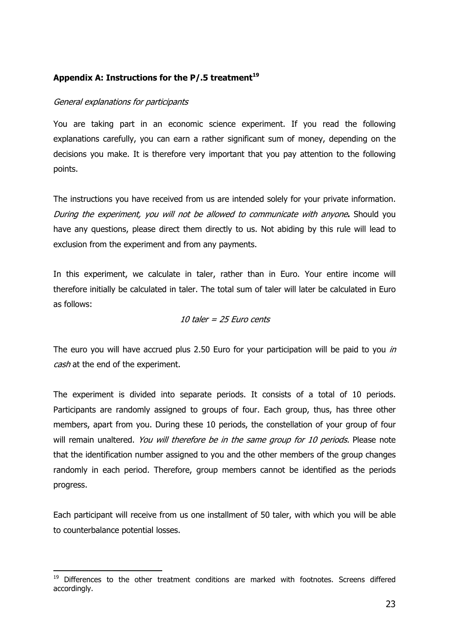# Appendix A: Instructions for the  $P/.5$  treatment<sup>19</sup>

#### General explanations for participants

 $\overline{a}$ 

You are taking part in an economic science experiment. If you read the following explanations carefully, you can earn a rather significant sum of money, depending on the decisions you make. It is therefore very important that you pay attention to the following points.

The instructions you have received from us are intended solely for your private information. During the experiment, you will not be allowed to communicate with anyone. Should you have any questions, please direct them directly to us. Not abiding by this rule will lead to exclusion from the experiment and from any payments.

In this experiment, we calculate in taler, rather than in Euro. Your entire income will therefore initially be calculated in taler. The total sum of taler will later be calculated in Euro as follows:

#### 10 taler =  $25$  Euro cents

The euro you will have accrued plus 2.50 Euro for your participation will be paid to you in cash at the end of the experiment.

The experiment is divided into separate periods. It consists of a total of 10 periods. Participants are randomly assigned to groups of four. Each group, thus, has three other members, apart from you. During these 10 periods, the constellation of your group of four will remain unaltered. You will therefore be in the same group for 10 periods. Please note that the identification number assigned to you and the other members of the group changes randomly in each period. Therefore, group members cannot be identified as the periods progress.

Each participant will receive from us one installment of 50 taler, with which you will be able to counterbalance potential losses.

<sup>&</sup>lt;sup>19</sup> Differences to the other treatment conditions are marked with footnotes. Screens differed accordingly.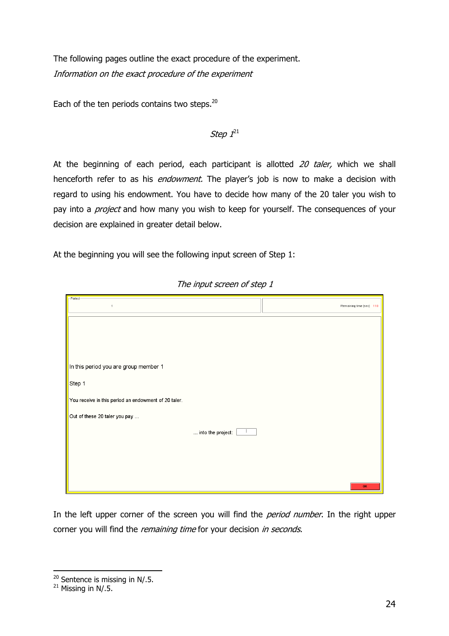The following pages outline the exact procedure of the experiment. Information on the exact procedure of the experiment

Each of the ten periods contains two steps. $20$ 

# Step  $\mathit{l}^{21}$

At the beginning of each period, each participant is allotted  $20$  taler, which we shall henceforth refer to as his *endowment*. The player's job is now to make a decision with regard to using his endowment. You have to decide how many of the 20 taler you wish to pay into a *project* and how many you wish to keep for yourself. The consequences of your decision are explained in greater detail below.

At the beginning you will see the following input screen of Step 1:

| $\Gamma$ Period<br>$\overline{1}$                    | Remaining time [sec]: 118 |
|------------------------------------------------------|---------------------------|
|                                                      |                           |
|                                                      |                           |
| In this period you are group member 1                |                           |
| Step 1                                               |                           |
| You receive in this period an endowment of 20 taler. |                           |
| Out of these 20 taler you pay                        |                           |
| into the project:                                    |                           |
|                                                      |                           |
|                                                      |                           |
|                                                      | OK                        |

The input screen of step 1

In the left upper corner of the screen you will find the *period number*. In the right upper corner you will find the *remaining time* for your decision *in seconds*.

<sup>&</sup>lt;sup>20</sup> Sentence is missing in N/.5.

 $21$  Missing in N/.5.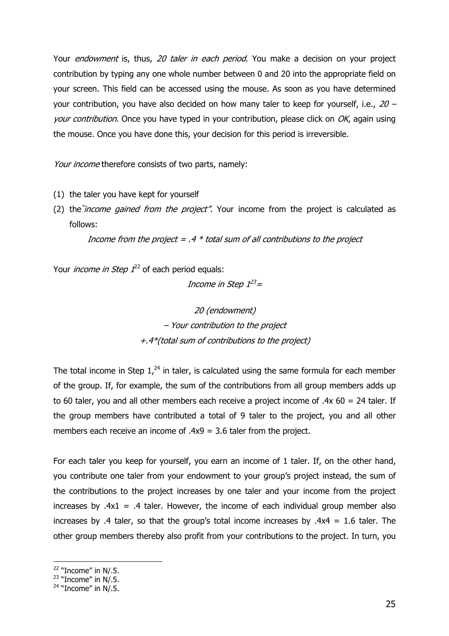Your endowment is, thus, 20 taler in each period. You make a decision on your project contribution by typing any one whole number between 0 and 20 into the appropriate field on your screen. This field can be accessed using the mouse. As soon as you have determined your contribution, you have also decided on how many taler to keep for yourself, i.e.,  $20$ your contribution. Once you have typed in your contribution, please click on  $OK$ , again using the mouse. Once you have done this, your decision for this period is irreversible.

Your income therefore consists of two parts, namely:

- (1) the taler you have kept for yourself
- (2) the *income gained from the project"*. Your income from the project is calculated as follows:

Income from the project =  $.4 *$  total sum of all contributions to the project

Your *income in Step 1*<sup>22</sup> of each period equals:

Income in Step 1<sup>23</sup>=

20 (endowment) – Your contribution to the project +.4\*(total sum of contributions to the project)

The total income in Step  $1<sup>24</sup>$  in taler, is calculated using the same formula for each member of the group. If, for example, the sum of the contributions from all group members adds up to 60 taler, you and all other members each receive a project income of .4x 60 = 24 taler. If the group members have contributed a total of 9 taler to the project, you and all other members each receive an income of .4x9 = 3.6 taler from the project.

For each taler you keep for yourself, you earn an income of 1 taler. If, on the other hand, you contribute one taler from your endowment to your group's project instead, the sum of the contributions to the project increases by one taler and your income from the project increases by  $.4x1 = .4$  taler. However, the income of each individual group member also increases by .4 taler, so that the group's total income increases by .4x4 = 1.6 taler. The other group members thereby also profit from your contributions to the project. In turn, you

 $22$  "Income" in N/.5.

 $23$  "Income" in N/.5.

 $24$  "Income" in N/.5.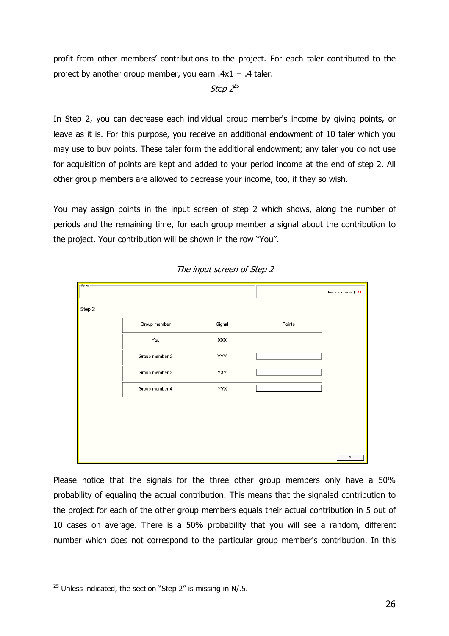profit from other members' contributions to the project. For each taler contributed to the project by another group member, you earn  $.4x1 = .4$  taler.

# Step 2<sup>25</sup>

In Step 2, you can decrease each individual group member's income by giving points, or leave as it is. For this purpose, you receive an additional endowment of 10 taler which you may use to buy points. These taler form the additional endowment; any taler you do not use for acquisition of points are kept and added to your period income at the end of step 2. All other group members are allowed to decrease your income, too, if they so wish.

You may assign points in the input screen of step 2 which shows, along the number of periods and the remaining time, for each group member a signal about the contribution to the project. Your contribution will be shown in the row "You".



The input screen of Step 2

Please notice that the signals for the three other group members only have a 50% probability of equaling the actual contribution. This means that the signaled contribution to the project for each of the other group members equals their actual contribution in 5 out of 10 cases on average. There is a 50% probability that you will see a random, different number which does not correspond to the particular group member's contribution. In this

<sup>&</sup>lt;sup>25</sup> Unless indicated, the section "Step 2" is missing in N/.5.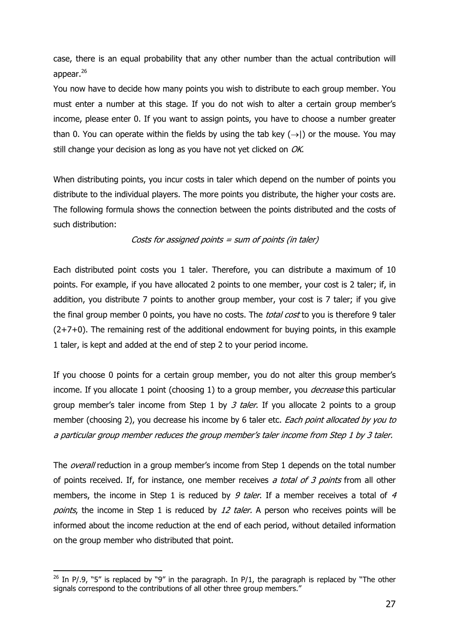case, there is an equal probability that any other number than the actual contribution will appear. $^{26}$ 

You now have to decide how many points you wish to distribute to each group member. You must enter a number at this stage. If you do not wish to alter a certain group member's income, please enter 0. If you want to assign points, you have to choose a number greater than 0. You can operate within the fields by using the tab key  $(\rightarrow)$  or the mouse. You may still change your decision as long as you have not yet clicked on OK.

When distributing points, you incur costs in taler which depend on the number of points you distribute to the individual players. The more points you distribute, the higher your costs are. The following formula shows the connection between the points distributed and the costs of such distribution:

# Costs for assigned points  $=$  sum of points (in taler)

Each distributed point costs you 1 taler. Therefore, you can distribute a maximum of 10 points. For example, if you have allocated 2 points to one member, your cost is 2 taler; if, in addition, you distribute 7 points to another group member, your cost is 7 taler; if you give the final group member 0 points, you have no costs. The *total cost* to you is therefore 9 taler  $(2+7+0)$ . The remaining rest of the additional endowment for buying points, in this example 1 taler, is kept and added at the end of step 2 to your period income.

If you choose 0 points for a certain group member, you do not alter this group member's income. If you allocate 1 point (choosing 1) to a group member, you *decrease* this particular group member's taler income from Step 1 by  $3$  taler. If you allocate 2 points to a group member (choosing 2), you decrease his income by 6 taler etc. *Each point allocated by you to* a particular group member reduces the group member's taler income from Step 1 by 3 taler.

The *overall* reduction in a group member's income from Step 1 depends on the total number of points received. If, for instance, one member receives a total of 3 points from all other members, the income in Step 1 is reduced by 9 taler. If a member receives a total of 4 points, the income in Step 1 is reduced by 12 taler. A person who receives points will be informed about the income reduction at the end of each period, without detailed information on the group member who distributed that point.

<sup>&</sup>lt;sup>26</sup> In P/.9, "5" is replaced by "9" in the paragraph. In P/1, the paragraph is replaced by "The other signals correspond to the contributions of all other three group members."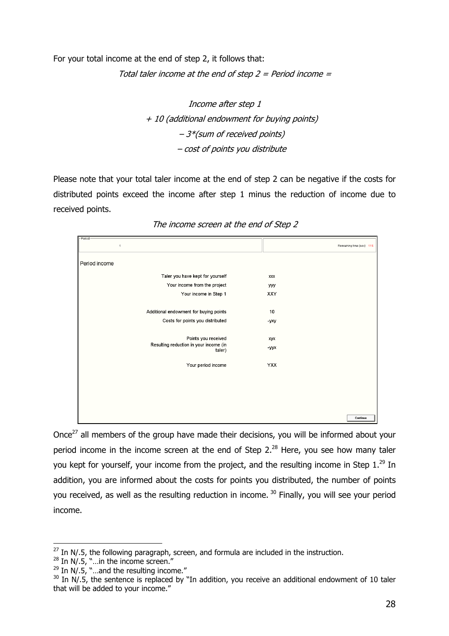For your total income at the end of step 2, it follows that:

Total taler income at the end of step  $2$  = Period income =

# Income after step 1 + 10 (additional endowment for buying points) – 3\*(sum of received points) – cost of points you distribute

Please note that your total taler income at the end of step 2 can be negative if the costs for distributed points exceed the income after step 1 minus the reduction of income due to received points.

| Period<br>$\mathbf{1}$                           | Remaining time [sec]: 115 |
|--------------------------------------------------|---------------------------|
| Period income                                    |                           |
| Taler you have kept for yourself                 | XXX                       |
| Your income from the project                     | yyy                       |
| Your income in Step 1                            | XXY                       |
| Additional endowment for buying points           | 10                        |
| Costs for points you distributed                 | -yxy                      |
| Points you received                              | xyx                       |
| Resulting reduction in your income (in<br>taler) | -yyx                      |
| Your period income                               | <b>YXX</b>                |
|                                                  |                           |
|                                                  |                           |
|                                                  |                           |
|                                                  | Continue                  |

The income screen at the end of Step 2

Once<sup>27</sup> all members of the group have made their decisions, you will be informed about your period income in the income screen at the end of Step  $2.^{28}$  Here, you see how many taler you kept for yourself, your income from the project, and the resulting income in Step  $1.^{29}$  In addition, you are informed about the costs for points you distributed, the number of points you received, as well as the resulting reduction in income.<sup>30</sup> Finally, you will see your period income.

 $27$  In N/.5, the following paragraph, screen, and formula are included in the instruction.

 $28$  In N/.5, "... in the income screen."

 $29$  In N/.5, "...and the resulting income."

 $30$  In N/.5, the sentence is replaced by "In addition, you receive an additional endowment of 10 taler that will be added to your income."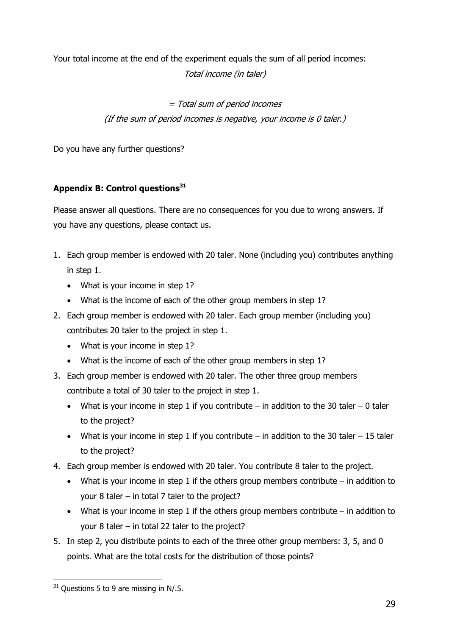Your total income at the end of the experiment equals the sum of all period incomes: Total income (in taler)

> = Total sum of period incomes (If the sum of period incomes is negative, your income is 0 taler.)

Do you have any further questions?

# Appendix B: Control questions $31$

Please answer all questions. There are no consequences for you due to wrong answers. If you have any questions, please contact us.

- 1. Each group member is endowed with 20 taler. None (including you) contributes anything in step 1.
	- What is your income in step 1?
	- What is the income of each of the other group members in step 1?
- 2. Each group member is endowed with 20 taler. Each group member (including you) contributes 20 taler to the project in step 1.
	- What is your income in step 1?
	- What is the income of each of the other group members in step 1?
- 3. Each group member is endowed with 20 taler. The other three group members contribute a total of 30 taler to the project in step 1.
	- What is your income in step 1 if you contribute in addition to the 30 taler 0 taler to the project?
	- What is your income in step 1 if you contribute  $-$  in addition to the 30 taler  $-15$  taler to the project?
- 4. Each group member is endowed with 20 taler. You contribute 8 taler to the project.
	- What is your income in step 1 if the others group members contribute  $-$  in addition to your 8 taler – in total 7 taler to the project?
	- What is your income in step 1 if the others group members contribute  $-$  in addition to your 8 taler – in total 22 taler to the project?
- 5. In step 2, you distribute points to each of the three other group members: 3, 5, and 0 points. What are the total costs for the distribution of those points?

 $31$  Ouestions 5 to 9 are missing in N/.5.